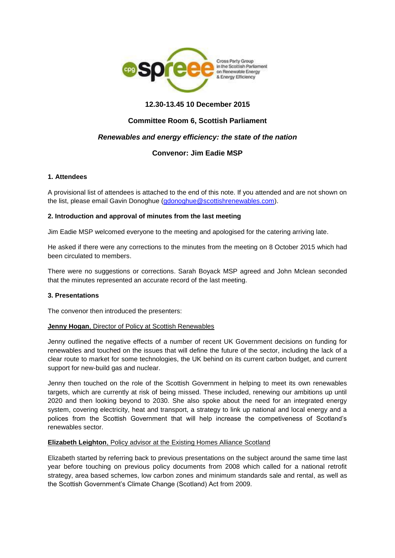

# **12.30-13.45 10 December 2015**

# **Committee Room 6, Scottish Parliament**

# *Renewables and energy efficiency: the state of the nation*

# **Convenor: Jim Eadie MSP**

### **1. Attendees**

A provisional list of attendees is attached to the end of this note. If you attended and are not shown on the list, please email Gavin Donoghue [\(gdonoghue@scottishrenewables.com\)](mailto:gdonoghue@scottishrenewables.com).

### **2. Introduction and approval of minutes from the last meeting**

Jim Eadie MSP welcomed everyone to the meeting and apologised for the catering arriving late.

He asked if there were any corrections to the minutes from the meeting on 8 October 2015 which had been circulated to members.

There were no suggestions or corrections. Sarah Boyack MSP agreed and John Mclean seconded that the minutes represented an accurate record of the last meeting.

### **3. Presentations**

The convenor then introduced the presenters:

#### **Jenny Hogan**, Director of Policy at Scottish Renewables

Jenny outlined the negative effects of a number of recent UK Government decisions on funding for renewables and touched on the issues that will define the future of the sector, including the lack of a clear route to market for some technologies, the UK behind on its current carbon budget, and current support for new-build gas and nuclear.

Jenny then touched on the role of the Scottish Government in helping to meet its own renewables targets, which are currently at risk of being missed. These included, renewing our ambitions up until 2020 and then looking beyond to 2030. She also spoke about the need for an integrated energy system, covering electricity, heat and transport, a strategy to link up national and local energy and a polices from the Scottish Government that will help increase the competiveness of Scotland's renewables sector.

#### **Elizabeth Leighton**, Policy advisor at the Existing Homes Alliance Scotland

Elizabeth started by referring back to previous presentations on the subject around the same time last year before touching on previous policy documents from 2008 which called for a national retrofit strategy, area based schemes, low carbon zones and minimum standards sale and rental, as well as the Scottish Government's Climate Change (Scotland) Act from 2009.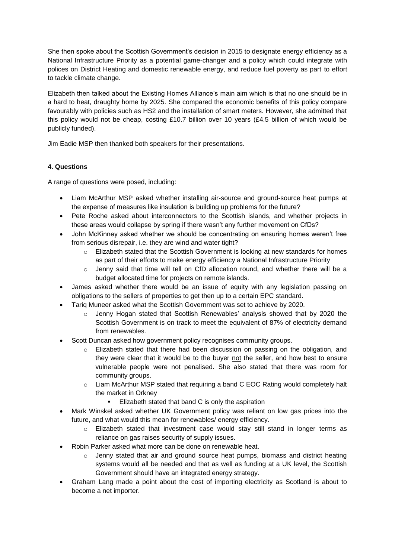She then spoke about the Scottish Government's decision in 2015 to designate energy efficiency as a National Infrastructure Priority as a potential game-changer and a policy which could integrate with polices on District Heating and domestic renewable energy, and reduce fuel poverty as part to effort to tackle climate change.

Elizabeth then talked about the Existing Homes Alliance's main aim which is that no one should be in a hard to heat, draughty home by 2025. She compared the economic benefits of this policy compare favourably with policies such as HS2 and the installation of smart meters. However, she admitted that this policy would not be cheap, costing £10.7 billion over 10 years (£4.5 billion of which would be publicly funded).

Jim Eadie MSP then thanked both speakers for their presentations.

# **4. Questions**

A range of questions were posed, including:

- Liam McArthur MSP asked whether installing air-source and ground-source heat pumps at the expense of measures like insulation is building up problems for the future?
- Pete Roche asked about interconnectors to the Scottish islands, and whether projects in these areas would collapse by spring if there wasn't any further movement on CfDs?
- John McKinney asked whether we should be concentrating on ensuring homes weren't free from serious disrepair, i.e. they are wind and water tight?
	- o Elizabeth stated that the Scottish Government is looking at new standards for homes as part of their efforts to make energy efficiency a National Infrastructure Priority
	- $\circ$  Jenny said that time will tell on CfD allocation round, and whether there will be a budget allocated time for projects on remote islands.
- James asked whether there would be an issue of equity with any legislation passing on obligations to the sellers of properties to get then up to a certain EPC standard.
- Tariq Muneer asked what the Scottish Government was set to achieve by 2020.
	- $\circ$  Jenny Hogan stated that Scottish Renewables' analysis showed that by 2020 the Scottish Government is on track to meet the equivalent of 87% of electricity demand from renewables.
- Scott Duncan asked how government policy recognises community groups.
	- o Elizabeth stated that there had been discussion on passing on the obligation, and they were clear that it would be to the buyer not the seller, and how best to ensure vulnerable people were not penalised. She also stated that there was room for community groups.
	- o Liam McArthur MSP stated that requiring a band C EOC Rating would completely halt the market in Orkney
		- Elizabeth stated that band C is only the aspiration
- Mark Winskel asked whether UK Government policy was reliant on low gas prices into the future, and what would this mean for renewables/ energy efficiency.
	- o Elizabeth stated that investment case would stay still stand in longer terms as reliance on gas raises security of supply issues.
- Robin Parker asked what more can be done on renewable heat.
	- $\circ$  Jenny stated that air and ground source heat pumps, biomass and district heating systems would all be needed and that as well as funding at a UK level, the Scottish Government should have an integrated energy strategy.
- Graham Lang made a point about the cost of importing electricity as Scotland is about to become a net importer.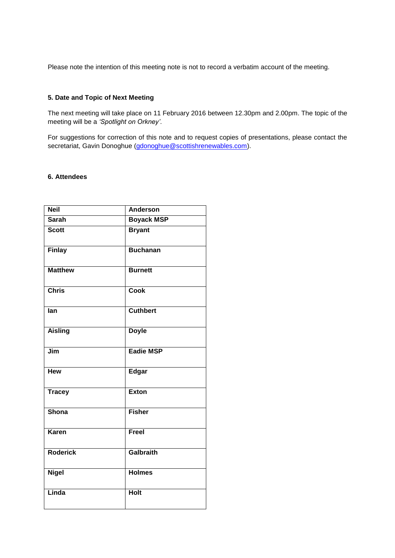Please note the intention of this meeting note is not to record a verbatim account of the meeting.

### **5. Date and Topic of Next Meeting**

The next meeting will take place on 11 February 2016 between 12.30pm and 2.00pm. The topic of the meeting will be a *'Spotlight on Orkney'*.

For suggestions for correction of this note and to request copies of presentations, please contact the secretariat, Gavin Donoghue [\(gdonoghue@scottishrenewables.com\)](mailto:gdonoghue@scottishrenewables.com).

### **6. Attendees**

| <b>Neil</b>     | <b>Anderson</b>   |
|-----------------|-------------------|
| <b>Sarah</b>    | <b>Boyack MSP</b> |
| <b>Scott</b>    | <b>Bryant</b>     |
| <b>Finlay</b>   | <b>Buchanan</b>   |
| <b>Matthew</b>  | <b>Burnett</b>    |
| <b>Chris</b>    | <b>Cook</b>       |
| lan             | <b>Cuthbert</b>   |
| <b>Aisling</b>  | <b>Doyle</b>      |
| Jim             | Eadie MSP         |
| <b>Hew</b>      | <b>Edgar</b>      |
| <b>Tracey</b>   | <b>Exton</b>      |
| Shona           | <b>Fisher</b>     |
| <b>Karen</b>    | Freel             |
| <b>Roderick</b> | <b>Galbraith</b>  |
| <b>Nigel</b>    | <b>Holmes</b>     |
| Linda           | <b>Holt</b>       |